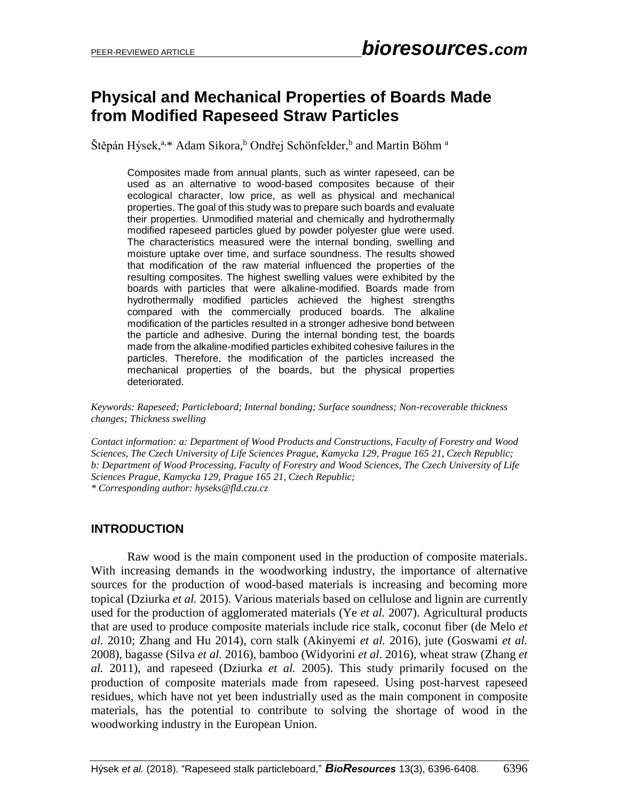# **Physical and Mechanical Properties of Boards Made from Modified Rapeseed Straw Particles**

Štěpán Hýsek,<sup>a,\*</sup> Adam Sikora,<sup>b</sup> Ondřej Schönfelder,<sup>b</sup> and Martin Böhm <sup>a</sup>

Composites made from annual plants, such as winter rapeseed, can be used as an alternative to wood-based composites because of their ecological character, low price, as well as physical and mechanical properties. The goal of this study was to prepare such boards and evaluate their properties. Unmodified material and chemically and hydrothermally modified rapeseed particles glued by powder polyester glue were used. The characteristics measured were the internal bonding, swelling and moisture uptake over time, and surface soundness. The results showed that modification of the raw material influenced the properties of the resulting composites. The highest swelling values were exhibited by the boards with particles that were alkaline-modified. Boards made from hydrothermally modified particles achieved the highest strengths compared with the commercially produced boards. The alkaline modification of the particles resulted in a stronger adhesive bond between the particle and adhesive. During the internal bonding test, the boards made from the alkaline-modified particles exhibited cohesive failures in the particles. Therefore, the modification of the particles increased the mechanical properties of the boards, but the physical properties deteriorated.

*Keywords: Rapeseed; Particleboard; Internal bonding; Surface soundness; Non-recoverable thickness changes; Thickness swelling*

*Contact information: a: Department of Wood Products and Constructions, Faculty of Forestry and Wood Sciences, The Czech University of Life Sciences Prague, Kamycka 129, Prague 165 21, Czech Republic; b: Department of Wood Processing, Faculty of Forestry and Wood Sciences, The Czech University of Life Sciences Prague, Kamycka 129, Prague 165 21, Czech Republic; \* Corresponding author: hyseks@fld.czu.cz*

## **INTRODUCTION**

Raw wood is the main component used in the production of composite materials. With increasing demands in the woodworking industry, the importance of alternative sources for the production of wood-based materials is increasing and becoming more topical (Dziurka *et al.* 2015). Various materials based on cellulose and lignin are currently used for the production of agglomerated materials (Ye *et al.* 2007). Agricultural products that are used to produce composite materials include rice stalk, coconut fiber (de Melo *et al.* 2010; Zhang and Hu 2014), corn stalk (Akinyemi *et al.* 2016), jute (Goswami *et al.* 2008), bagasse (Silva *et al.* 2016), bamboo (Widyorini *et al.* 2016), wheat straw (Zhang *et al.* 2011), and rapeseed (Dziurka *et al.* 2005). This study primarily focused on the production of composite materials made from rapeseed. Using post-harvest rapeseed residues, which have not yet been industrially used as the main component in composite materials, has the potential to contribute to solving the shortage of wood in the woodworking industry in the European Union.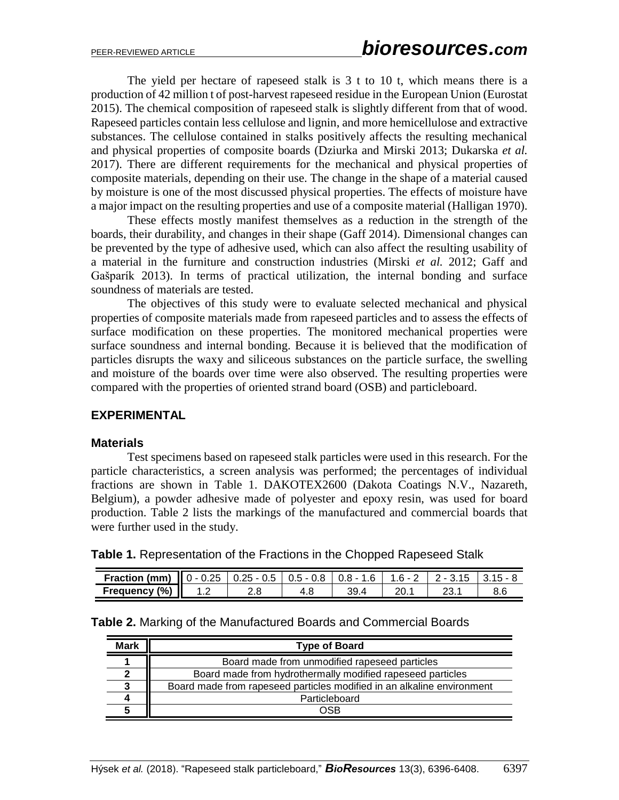The yield per hectare of rapeseed stalk is 3 t to 10 t, which means there is a production of 42 million t of post-harvest rapeseed residue in the European Union (Eurostat 2015). The chemical composition of rapeseed stalk is slightly different from that of wood. Rapeseed particles contain less cellulose and lignin, and more hemicellulose and extractive substances. The cellulose contained in stalks positively affects the resulting mechanical and physical properties of composite boards (Dziurka and Mirski 2013; Dukarska *et al.* 2017). There are different requirements for the mechanical and physical properties of composite materials, depending on their use. The change in the shape of a material caused by moisture is one of the most discussed physical properties. The effects of moisture have a major impact on the resulting properties and use of a composite material (Halligan 1970).

These effects mostly manifest themselves as a reduction in the strength of the boards, their durability, and changes in their shape (Gaff 2014). Dimensional changes can be prevented by the type of adhesive used, which can also affect the resulting usability of a material in the furniture and construction industries (Mirski *et al.* 2012; Gaff and Gašparík 2013). In terms of practical utilization, the internal bonding and surface soundness of materials are tested.

The objectives of this study were to evaluate selected mechanical and physical properties of composite materials made from rapeseed particles and to assess the effects of surface modification on these properties. The monitored mechanical properties were surface soundness and internal bonding. Because it is believed that the modification of particles disrupts the waxy and siliceous substances on the particle surface, the swelling and moisture of the boards over time were also observed. The resulting properties were compared with the properties of oriented strand board (OSB) and particleboard.

#### **EXPERIMENTAL**

#### **Materials**

Test specimens based on rapeseed stalk particles were used in this research. For the particle characteristics, a screen analysis was performed; the percentages of individual fractions are shown in Table 1. DAKOTEX2600 (Dakota Coatings N.V., Nazareth, Belgium), a powder adhesive made of polyester and epoxy resin, was used for board production. Table 2 lists the markings of the manufactured and commercial boards that were further used in the study.

| <b>Fraction (mm)</b> $\parallel$ 0 - 0.25 $\parallel$ 0.25 - 0.5 $\parallel$ 0.5 - 0.8 $\parallel$ 0.8 - 1.6 $\parallel$ 1.6 - 2 $\parallel$ 2 - 3.15 $\parallel$ 3.15 - 8 |  |  |  |  |
|----------------------------------------------------------------------------------------------------------------------------------------------------------------------------|--|--|--|--|
| Frequency (%)                                                                                                                                                              |  |  |  |  |

|  |  |  | Table 2. Marking of the Manufactured Boards and Commercial Boards |  |  |  |
|--|--|--|-------------------------------------------------------------------|--|--|--|
|--|--|--|-------------------------------------------------------------------|--|--|--|

| <b>Mark</b> | <b>Type of Board</b>                                                   |
|-------------|------------------------------------------------------------------------|
|             | Board made from unmodified rapeseed particles                          |
|             | Board made from hydrothermally modified rapeseed particles             |
| 3           | Board made from rapeseed particles modified in an alkaline environment |
|             | Particleboard                                                          |
|             | NSR                                                                    |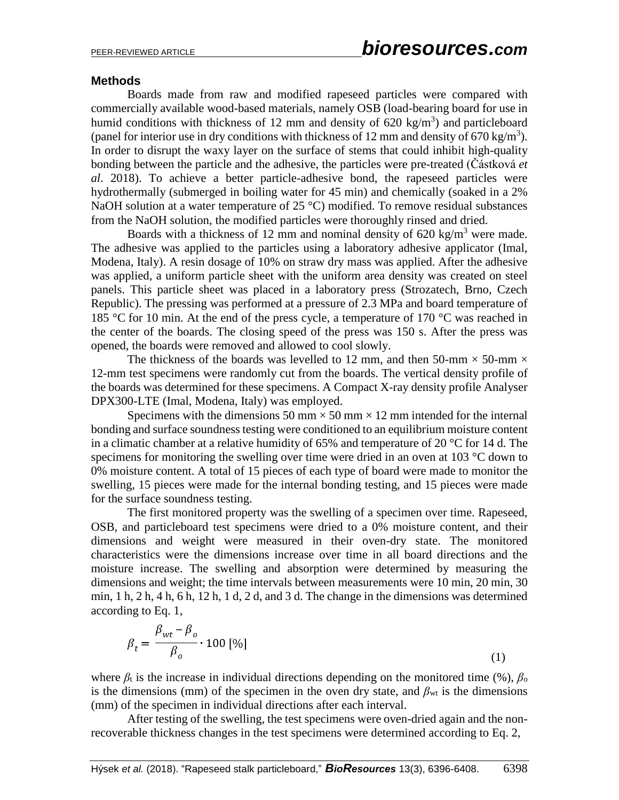#### **Methods**

Boards made from raw and modified rapeseed particles were compared with commercially available wood-based materials, namely OSB (load-bearing board for use in humid conditions with thickness of 12 mm and density of 620 kg/m<sup>3</sup>) and particleboard (panel for interior use in dry conditions with thickness of 12 mm and density of 670 kg/m<sup>3</sup>). In order to disrupt the waxy layer on the surface of stems that could inhibit high-quality bonding between the particle and the adhesive, the particles were pre-treated (Částková *et al*. 2018). To achieve a better particle-adhesive bond, the rapeseed particles were hydrothermally (submerged in boiling water for 45 min) and chemically (soaked in a 2% NaOH solution at a water temperature of 25  $^{\circ}$ C) modified. To remove residual substances from the NaOH solution, the modified particles were thoroughly rinsed and dried.

Boards with a thickness of 12 mm and nominal density of  $620 \text{ kg/m}^3$  were made. The adhesive was applied to the particles using a laboratory adhesive applicator (Imal, Modena, Italy). A resin dosage of 10% on straw dry mass was applied. After the adhesive was applied, a uniform particle sheet with the uniform area density was created on steel panels. This particle sheet was placed in a laboratory press (Strozatech, Brno, Czech Republic). The pressing was performed at a pressure of 2.3 MPa and board temperature of 185 °C for 10 min. At the end of the press cycle, a temperature of 170 °C was reached in the center of the boards. The closing speed of the press was 150 s. After the press was opened, the boards were removed and allowed to cool slowly.

The thickness of the boards was levelled to 12 mm, and then 50-mm  $\times$  50-mm  $\times$ 12-mm test specimens were randomly cut from the boards. The vertical density profile of the boards was determined for these specimens. A Compact X-ray density profile Analyser DPX300-LTE (Imal, Modena, Italy) was employed.

Specimens with the dimensions 50 mm  $\times$  50 mm  $\times$  12 mm intended for the internal bonding and surface soundness testing were conditioned to an equilibrium moisture content in a climatic chamber at a relative humidity of 65% and temperature of 20  $\degree$ C for 14 d. The specimens for monitoring the swelling over time were dried in an oven at 103 °C down to 0% moisture content. A total of 15 pieces of each type of board were made to monitor the swelling, 15 pieces were made for the internal bonding testing, and 15 pieces were made for the surface soundness testing.

The first monitored property was the swelling of a specimen over time. Rapeseed, OSB, and particleboard test specimens were dried to a 0% moisture content, and their dimensions and weight were measured in their oven-dry state. The monitored characteristics were the dimensions increase over time in all board directions and the moisture increase. The swelling and absorption were determined by measuring the dimensions and weight; the time intervals between measurements were 10 min, 20 min, 30 min, 1 h, 2 h, 4 h, 6 h, 12 h, 1 d, 2 d, and 3 d. The change in the dimensions was determined according to Eq. 1,

$$
\beta_t = \frac{\beta_{wt} - \beta_o}{\beta_o} \cdot 100 \,[\%]
$$
 (1)

where  $\beta_t$  is the increase in individual directions depending on the monitored time (%),  $\beta_0$ is the dimensions (mm) of the specimen in the oven dry state, and  $\beta_{wt}$  is the dimensions (mm) of the specimen in individual directions after each interval.

After testing of the swelling, the test specimens were oven-dried again and the nonrecoverable thickness changes in the test specimens were determined according to Eq. 2,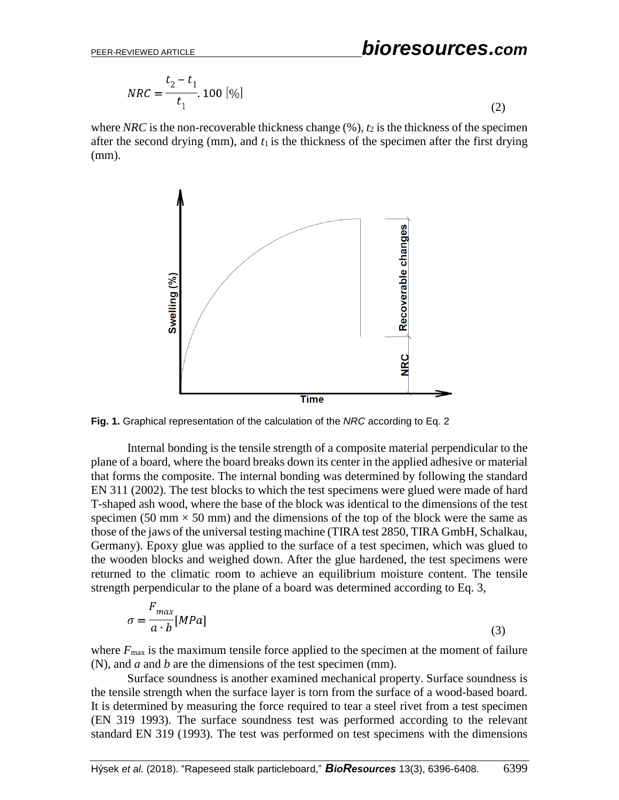(2)

$$
NRC = \frac{t_2 - t_1}{t_1} \cdot 100 \, [\%]
$$

where *NRC* is the non-recoverable thickness change (%),  $t_2$  is the thickness of the specimen after the second drying (mm), and  $t_1$  is the thickness of the specimen after the first drying (mm).



**Fig. 1.** Graphical representation of the calculation of the *NRC* according to Eq. 2

Internal bonding is the tensile strength of a composite material perpendicular to the plane of a board, where the board breaks down its center in the applied adhesive or material that forms the composite. The internal bonding was determined by following the standard EN 311 (2002). The test blocks to which the test specimens were glued were made of hard T-shaped ash wood, where the base of the block was identical to the dimensions of the test specimen (50 mm  $\times$  50 mm) and the dimensions of the top of the block were the same as those of the jaws of the universal testing machine (TIRA test 2850, TIRA GmbH, Schalkau, Germany). Epoxy glue was applied to the surface of a test specimen, which was glued to the wooden blocks and weighed down. After the glue hardened, the test specimens were returned to the climatic room to achieve an equilibrium moisture content. The tensile strength perpendicular to the plane of a board was determined according to Eq. 3,

$$
\sigma = \frac{F_{max}}{a \cdot b} [MPa] \tag{3}
$$

where  $F_{\text{max}}$  is the maximum tensile force applied to the specimen at the moment of failure (N), and *a* and *b* are the dimensions of the test specimen (mm).

Surface soundness is another examined mechanical property. Surface soundness is the tensile strength when the surface layer is torn from the surface of a wood-based board. It is determined by measuring the force required to tear a steel rivet from a test specimen (EN 319 1993). The surface soundness test was performed according to the relevant standard EN 319 (1993). The test was performed on test specimens with the dimensions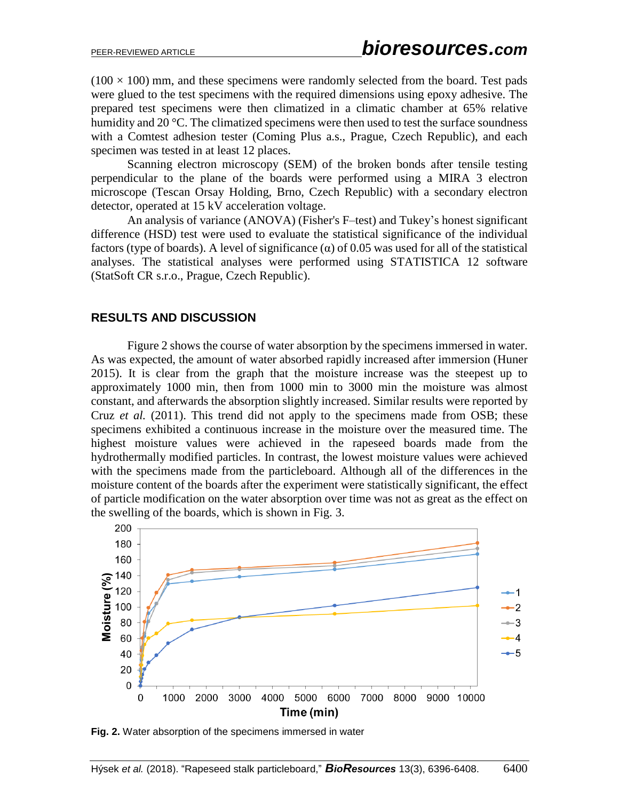$(100 \times 100)$  mm, and these specimens were randomly selected from the board. Test pads were glued to the test specimens with the required dimensions using epoxy adhesive. The prepared test specimens were then climatized in a climatic chamber at 65% relative humidity and 20 °C. The climatized specimens were then used to test the surface soundness with a Comtest adhesion tester (Coming Plus a.s., Prague, Czech Republic), and each specimen was tested in at least 12 places.

Scanning electron microscopy (SEM) of the broken bonds after tensile testing perpendicular to the plane of the boards were performed using a MIRA 3 electron microscope (Tescan Orsay Holding, Brno, Czech Republic) with a secondary electron detector, operated at 15 kV acceleration voltage.

An analysis of variance (ANOVA) (Fisher's F–test) and Tukey's honest significant difference (HSD) test were used to evaluate the statistical significance of the individual factors (type of boards). A level of significance ( $\alpha$ ) of 0.05 was used for all of the statistical analyses. The statistical analyses were performed using STATISTICA 12 software (StatSoft CR s.r.o., Prague, Czech Republic).

## **RESULTS AND DISCUSSION**

Figure 2 shows the course of water absorption by the specimens immersed in water. As was expected, the amount of water absorbed rapidly increased after immersion (Huner 2015). It is clear from the graph that the moisture increase was the steepest up to approximately 1000 min, then from 1000 min to 3000 min the moisture was almost constant, and afterwards the absorption slightly increased. Similar results were reported by Cruz *et al.* (2011). This trend did not apply to the specimens made from OSB; these specimens exhibited a continuous increase in the moisture over the measured time. The highest moisture values were achieved in the rapeseed boards made from the hydrothermally modified particles. In contrast, the lowest moisture values were achieved with the specimens made from the particleboard. Although all of the differences in the moisture content of the boards after the experiment were statistically significant, the effect of particle modification on the water absorption over time was not as great as the effect on the swelling of the boards, which is shown in Fig. 3.



**Fig. 2.** Water absorption of the specimens immersed in water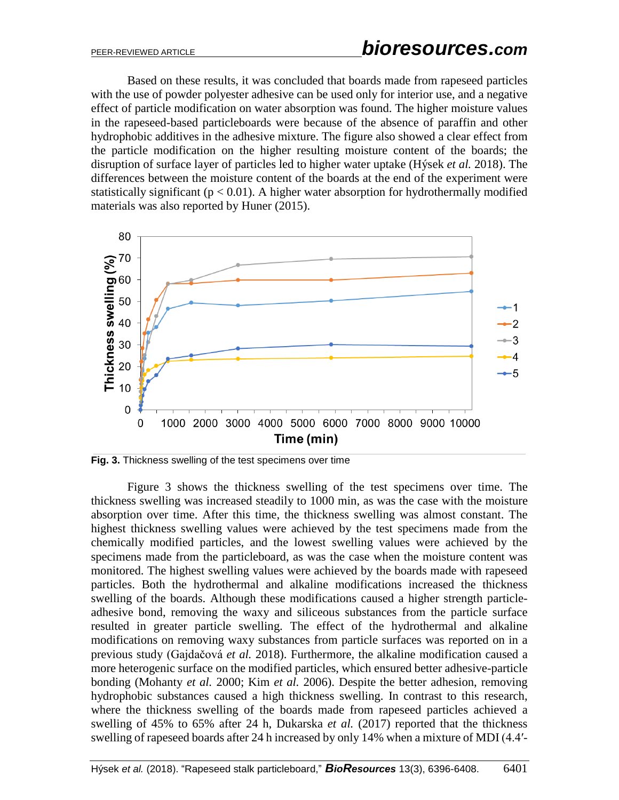Based on these results, it was concluded that boards made from rapeseed particles with the use of powder polyester adhesive can be used only for interior use, and a negative effect of particle modification on water absorption was found. The higher moisture values in the rapeseed-based particleboards were because of the absence of paraffin and other hydrophobic additives in the adhesive mixture. The figure also showed a clear effect from the particle modification on the higher resulting moisture content of the boards; the disruption of surface layer of particles led to higher water uptake (Hýsek *et al.* 2018). The differences between the moisture content of the boards at the end of the experiment were statistically significant ( $p < 0.01$ ). A higher water absorption for hydrothermally modified materials was also reported by Huner (2015).



**Fig. 3.** Thickness swelling of the test specimens over time

Figure 3 shows the thickness swelling of the test specimens over time. The thickness swelling was increased steadily to 1000 min, as was the case with the moisture absorption over time. After this time, the thickness swelling was almost constant. The highest thickness swelling values were achieved by the test specimens made from the chemically modified particles, and the lowest swelling values were achieved by the specimens made from the particleboard, as was the case when the moisture content was monitored. The highest swelling values were achieved by the boards made with rapeseed particles. Both the hydrothermal and alkaline modifications increased the thickness swelling of the boards. Although these modifications caused a higher strength particleadhesive bond, removing the waxy and siliceous substances from the particle surface resulted in greater particle swelling. The effect of the hydrothermal and alkaline modifications on removing waxy substances from particle surfaces was reported on in a previous study (Gajdačová *et al.* 2018). Furthermore, the alkaline modification caused a more heterogenic surface on the modified particles, which ensured better adhesive-particle bonding (Mohanty *et al.* 2000; Kim *et al.* 2006). Despite the better adhesion, removing hydrophobic substances caused a high thickness swelling. In contrast to this research, where the thickness swelling of the boards made from rapeseed particles achieved a swelling of 45% to 65% after 24 h, Dukarska *et al.* (2017) reported that the thickness swelling of rapeseed boards after 24 h increased by only 14% when a mixture of MDI (4.4′-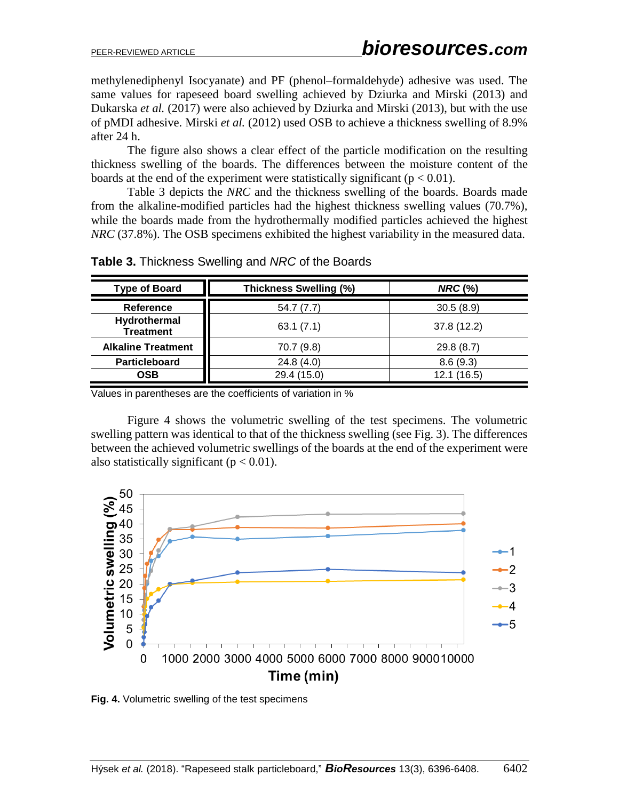methylenediphenyl Isocyanate) and PF (phenol–formaldehyde) adhesive was used. The same values for rapeseed board swelling achieved by Dziurka and Mirski (2013) and Dukarska *et al.* (2017) were also achieved by Dziurka and Mirski (2013), but with the use of pMDI adhesive. Mirski *et al.* (2012) used OSB to achieve a thickness swelling of 8.9% after 24 h.

The figure also shows a clear effect of the particle modification on the resulting thickness swelling of the boards. The differences between the moisture content of the boards at the end of the experiment were statistically significant ( $p < 0.01$ ).

Table 3 depicts the *NRC* and the thickness swelling of the boards. Boards made from the alkaline-modified particles had the highest thickness swelling values (70.7%), while the boards made from the hydrothermally modified particles achieved the highest *NRC* (37.8%). The OSB specimens exhibited the highest variability in the measured data.

| <b>Type of Board</b>             | Thickness Swelling (%) | $NRC$ (%)   |
|----------------------------------|------------------------|-------------|
| Reference                        | 54.7(7.7)              | 30.5(8.9)   |
| Hydrothermal<br><b>Treatment</b> | 63.1(7.1)              | 37.8 (12.2) |
| <b>Alkaline Treatment</b>        | 70.7 (9.8)             | 29.8(8.7)   |
| Particleboard                    | 24.8(4.0)              | 8.6(9.3)    |
| <b>OSB</b>                       | 29.4 (15.0)            | 12.1(16.5)  |

**Table 3.** Thickness Swelling and *NRC* of the Boards

Values in parentheses are the coefficients of variation in %

Figure 4 shows the volumetric swelling of the test specimens. The volumetric swelling pattern was identical to that of the thickness swelling (see Fig. 3). The differences between the achieved volumetric swellings of the boards at the end of the experiment were also statistically significant ( $p < 0.01$ ).



**Fig. 4.** Volumetric swelling of the test specimens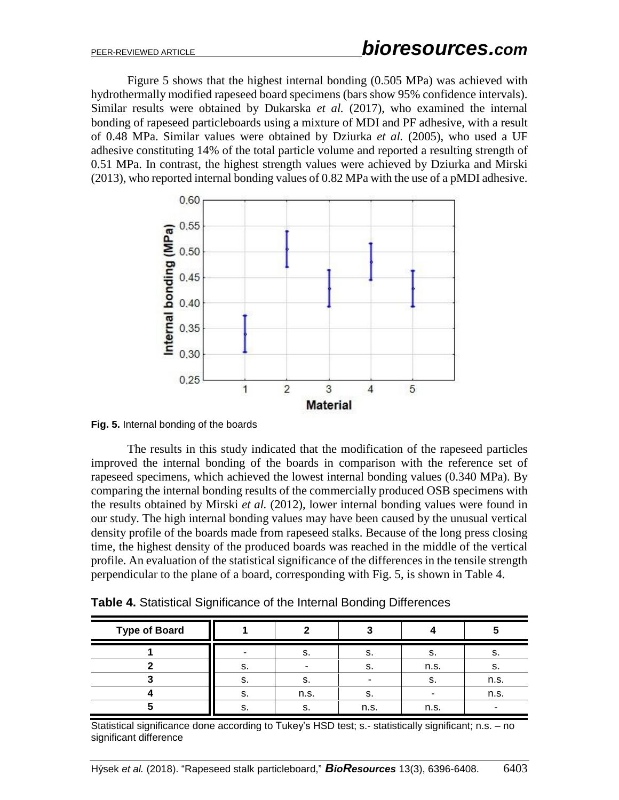Figure 5 shows that the highest internal bonding (0.505 MPa) was achieved with hydrothermally modified rapeseed board specimens (bars show 95% confidence intervals). Similar results were obtained by Dukarska *et al.* (2017), who examined the internal bonding of rapeseed particleboards using a mixture of MDI and PF adhesive, with a result of 0.48 MPa. Similar values were obtained by Dziurka *et al.* (2005), who used a UF adhesive constituting 14% of the total particle volume and reported a resulting strength of 0.51 MPa. In contrast, the highest strength values were achieved by Dziurka and Mirski (2013), who reported internal bonding values of 0.82 MPa with the use of a pMDI adhesive.



**Fig. 5.** Internal bonding of the boards

The results in this study indicated that the modification of the rapeseed particles improved the internal bonding of the boards in comparison with the reference set of rapeseed specimens, which achieved the lowest internal bonding values (0.340 MPa). By comparing the internal bonding results of the commercially produced OSB specimens with the results obtained by Mirski *et al.* (2012), lower internal bonding values were found in our study. The high internal bonding values may have been caused by the unusual vertical density profile of the boards made from rapeseed stalks. Because of the long press closing time, the highest density of the produced boards was reached in the middle of the vertical profile. An evaluation of the statistical significance of the differences in the tensile strength perpendicular to the plane of a board, corresponding with Fig. 5, is shown in Table 4.

**Table 4.** Statistical Significance of the Internal Bonding Differences

| <b>Type of Board</b> |    |      |      |      |      |
|----------------------|----|------|------|------|------|
|                      |    | s.   | s.   | s.   | ১.   |
|                      | s. |      | s.   | n.s. | s.   |
|                      | s. | s.   |      | s.   | n.s. |
|                      | s. | n.s. | s.   |      | n.s. |
|                      |    | ၁.   | n.s. | n.s. | ۰    |

Statistical significance done according to Tukey's HSD test; s.- statistically significant; n.s. – no significant difference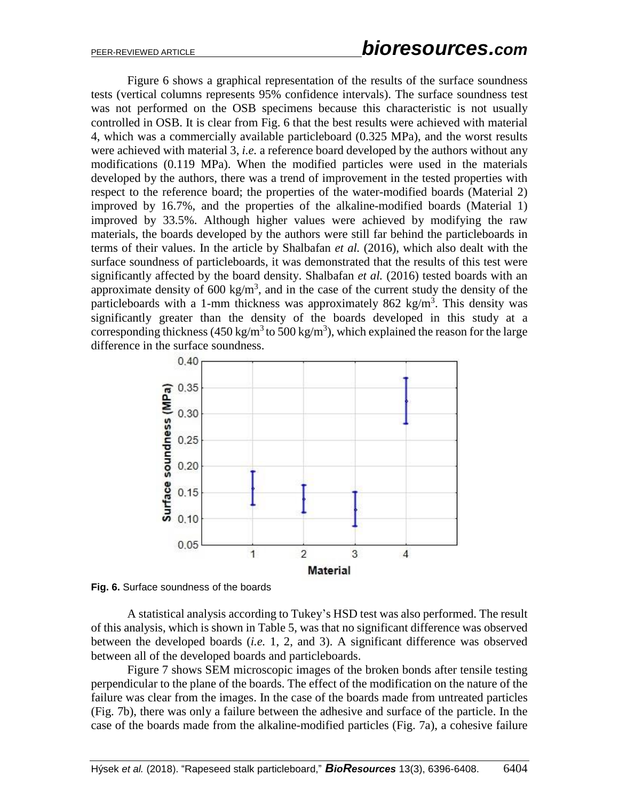Figure 6 shows a graphical representation of the results of the surface soundness tests (vertical columns represents 95% confidence intervals). The surface soundness test was not performed on the OSB specimens because this characteristic is not usually controlled in OSB. It is clear from Fig. 6 that the best results were achieved with material 4, which was a commercially available particleboard (0.325 MPa), and the worst results were achieved with material 3, *i.e.* a reference board developed by the authors without any modifications (0.119 MPa). When the modified particles were used in the materials developed by the authors, there was a trend of improvement in the tested properties with respect to the reference board; the properties of the water-modified boards (Material 2) improved by 16.7%, and the properties of the alkaline-modified boards (Material 1) improved by 33.5%. Although higher values were achieved by modifying the raw materials, the boards developed by the authors were still far behind the particleboards in terms of their values. In the article by Shalbafan *et al.* (2016), which also dealt with the surface soundness of particleboards, it was demonstrated that the results of this test were significantly affected by the board density. Shalbafan *et al.* (2016) tested boards with an approximate density of  $600 \text{ kg/m}^3$ , and in the case of the current study the density of the particleboards with a 1-mm thickness was approximately 862 kg/m<sup>3</sup>. This density was significantly greater than the density of the boards developed in this study at a corresponding thickness (450 kg/m<sup>3</sup> to 500 kg/m<sup>3</sup>), which explained the reason for the large difference in the surface soundness.



**Fig. 6.** Surface soundness of the boards

A statistical analysis according to Tukey's HSD test was also performed. The result of this analysis, which is shown in Table 5, was that no significant difference was observed between the developed boards (*i.e.* 1, 2, and 3). A significant difference was observed between all of the developed boards and particleboards.

Figure 7 shows SEM microscopic images of the broken bonds after tensile testing perpendicular to the plane of the boards. The effect of the modification on the nature of the failure was clear from the images. In the case of the boards made from untreated particles (Fig. 7b), there was only a failure between the adhesive and surface of the particle. In the case of the boards made from the alkaline-modified particles (Fig. 7a), a cohesive failure

Hýsek *et al.* (2018). "Rapeseed stalk particleboard," *BioResources* 13(3), 6396-6408. 6404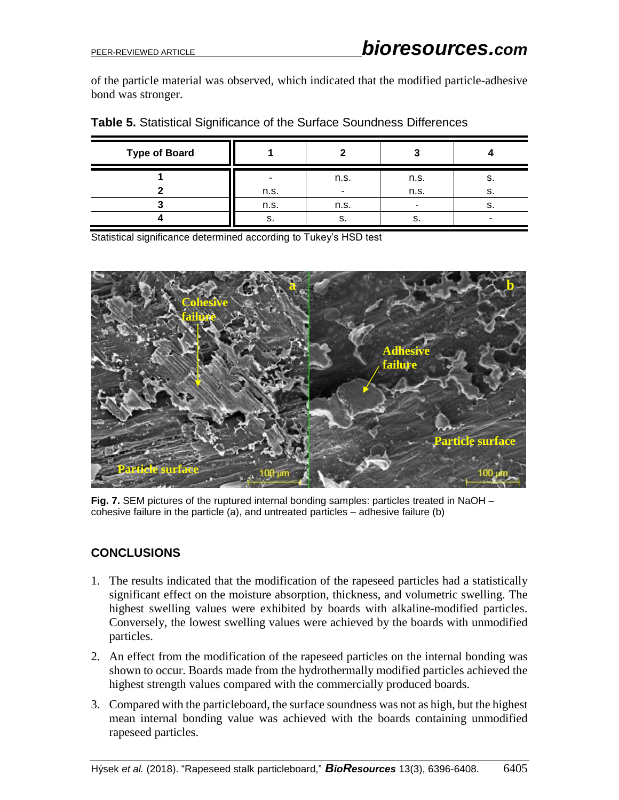of the particle material was observed, which indicated that the modified particle-adhesive bond was stronger.

| <b>Type of Board</b> |      |      |      |  |
|----------------------|------|------|------|--|
|                      |      | n.s. | n.s. |  |
|                      | n.s. |      | n.s. |  |
|                      | n.s. | n.s. |      |  |
|                      |      |      |      |  |

|  |  |  | Table 5. Statistical Significance of the Surface Soundness Differences |  |  |
|--|--|--|------------------------------------------------------------------------|--|--|
|--|--|--|------------------------------------------------------------------------|--|--|

Statistical significance determined according to Tukey's HSD test



**Fig. 7.** SEM pictures of the ruptured internal bonding samples: particles treated in NaOH – cohesive failure in the particle (a), and untreated particles – adhesive failure (b)

## **CONCLUSIONS**

- 1. The results indicated that the modification of the rapeseed particles had a statistically significant effect on the moisture absorption, thickness, and volumetric swelling. The highest swelling values were exhibited by boards with alkaline-modified particles. Conversely, the lowest swelling values were achieved by the boards with unmodified particles.
- 2. An effect from the modification of the rapeseed particles on the internal bonding was shown to occur. Boards made from the hydrothermally modified particles achieved the highest strength values compared with the commercially produced boards.
- 3. Compared with the particleboard, the surface soundness was not as high, but the highest mean internal bonding value was achieved with the boards containing unmodified rapeseed particles.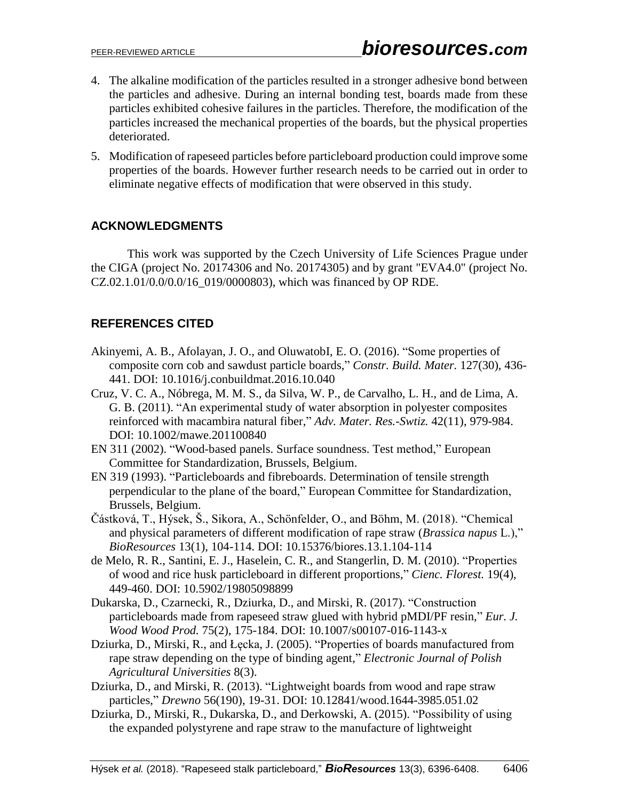- 4. The alkaline modification of the particles resulted in a stronger adhesive bond between the particles and adhesive. During an internal bonding test, boards made from these particles exhibited cohesive failures in the particles. Therefore, the modification of the particles increased the mechanical properties of the boards, but the physical properties deteriorated.
- 5. Modification of rapeseed particles before particleboard production could improve some properties of the boards. However further research needs to be carried out in order to eliminate negative effects of modification that were observed in this study.

# **ACKNOWLEDGMENTS**

This work was supported by the Czech University of Life Sciences Prague under the CIGA (project No. 20174306 and No. 20174305) and by grant "EVA4.0" (project No. CZ.02.1.01/0.0/0.0/16\_019/0000803), which was financed by OP RDE.

# **REFERENCES CITED**

- Akinyemi, A. B., Afolayan, J. O., and OluwatobI, E. O. (2016). "Some properties of composite corn cob and sawdust particle boards," *Constr. Build. Mater.* 127(30), 436- 441. DOI: 10.1016/j.conbuildmat.2016.10.040
- Cruz, V. C. A., Nóbrega, M. M. S., da Silva, W. P., de Carvalho, L. H., and de Lima, A. G. B. (2011). "An experimental study of water absorption in polyester composites reinforced with macambira natural fiber," *Adv. Mater. Res.-Swtiz.* 42(11), 979-984. DOI: 10.1002/mawe.201100840
- EN 311 (2002). "Wood-based panels. Surface soundness. Test method," European Committee for Standardization, Brussels, Belgium.
- EN 319 (1993). "Particleboards and fibreboards. Determination of tensile strength perpendicular to the plane of the board," European Committee for Standardization, Brussels, Belgium.
- Částková, T., Hýsek, Š., Sikora, A., Schönfelder, O., and Böhm, M. (2018). "Chemical and physical parameters of different modification of rape straw (*Brassica napus* L.)," *BioResources* 13(1), 104-114. DOI: 10.15376/biores.13.1.104-114
- de Melo, R. R., Santini, E. J., Haselein, C. R., and Stangerlin, D. M. (2010). "Properties of wood and rice husk particleboard in different proportions," *Cienc. Florest.* 19(4), 449-460. DOI: 10.5902/19805098899
- Dukarska, D., Czarnecki, R., Dziurka, D., and Mirski, R. (2017). "Construction particleboards made from rapeseed straw glued with hybrid pMDI/PF resin," *Eur. J. Wood Wood Prod.* 75(2), 175-184. DOI: 10.1007/s00107-016-1143-x
- Dziurka, D., Mirski, R., and Łęcka, J. (2005). "Properties of boards manufactured from rape straw depending on the type of binding agent," *Electronic Journal of Polish Agricultural Universities* 8(3).
- Dziurka, D., and Mirski, R. (2013). "Lightweight boards from wood and rape straw particles," *Drewno* 56(190), 19-31. DOI: 10.12841/wood.1644-3985.051.02
- Dziurka, D., Mirski, R., Dukarska, D., and Derkowski, A. (2015). "Possibility of using the expanded polystyrene and rape straw to the manufacture of lightweight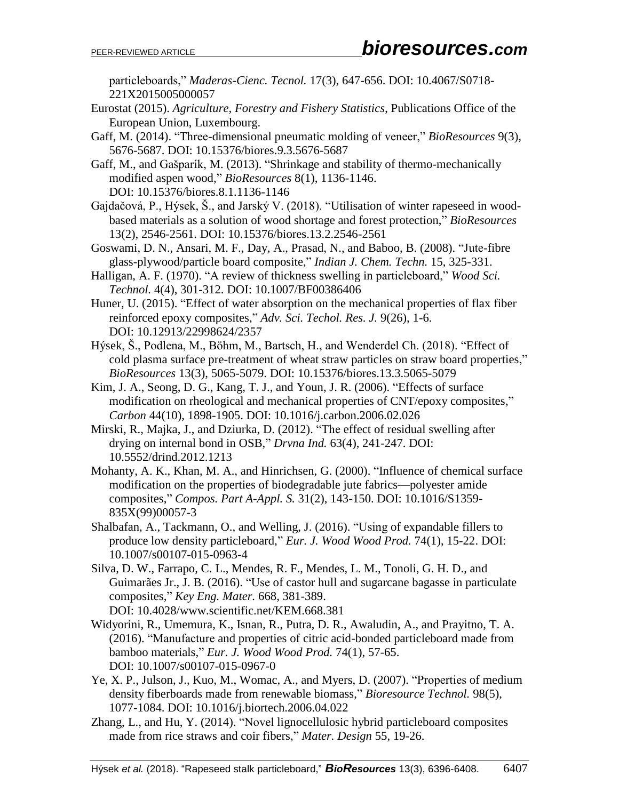particleboards," *Maderas-Cienc. Tecnol.* 17(3), 647-656. DOI: 10.4067/S0718- 221X2015005000057

- Eurostat (2015). *Agriculture, Forestry and Fishery Statistics*, Publications Office of the European Union, Luxembourg.
- Gaff, M. (2014). "Three-dimensional pneumatic molding of veneer," *BioResources* 9(3), 5676-5687. DOI: 10.15376/biores.9.3.5676-5687

Gaff, M., and Gašparík, M. (2013). "Shrinkage and stability of thermo-mechanically modified aspen wood," *BioResources* 8(1), 1136-1146. DOI: 10.15376/biores.8.1.1136-1146

- Gajdačová, P., Hýsek, Š., and Jarský V. (2018). "Utilisation of winter rapeseed in woodbased materials as a solution of wood shortage and forest protection," *BioResources* 13(2), 2546-2561. DOI: 10.15376/biores.13.2.2546-2561
- Goswami, D. N., Ansari, M. F., Day, A., Prasad, N., and Baboo, B. (2008). "Jute-fibre glass-plywood/particle board composite," *Indian J. Chem. Techn.* 15, 325-331.
- Halligan, A. F. (1970). "A review of thickness swelling in particleboard," *Wood Sci. Technol.* 4(4), 301-312. DOI: 10.1007/BF00386406
- Huner, U. (2015). "Effect of water absorption on the mechanical properties of flax fiber reinforced epoxy composites," *Adv. Sci. Techol. Res. J.* 9(26), 1-6. DOI: 10.12913/22998624/2357
- Hýsek, Š., Podlena, M., Böhm, M., Bartsch, H., and Wenderdel Ch. (2018). "Effect of cold plasma surface pre-treatment of wheat straw particles on straw board properties," *BioResources* 13(3), 5065-5079. DOI: 10.15376/biores.13.3.5065-5079
- Kim, J. A., Seong, D. G., Kang, T. J., and Youn, J. R. (2006). "Effects of surface modification on rheological and mechanical properties of CNT/epoxy composites," *Carbon* 44(10), 1898-1905. DOI: 10.1016/j.carbon.2006.02.026
- Mirski, R., Majka, J., and Dziurka, D. (2012). "The effect of residual swelling after drying on internal bond in OSB," *Drvna Ind.* 63(4), 241-247. DOI: 10.5552/drind.2012.1213
- Mohanty, A. K., Khan, M. A., and Hinrichsen, G. (2000). "Influence of chemical surface modification on the properties of biodegradable jute fabrics—polyester amide composites," *Compos. Part A-Appl. S.* 31(2), 143-150. DOI: 10.1016/S1359- 835X(99)00057-3
- Shalbafan, A., Tackmann, O., and Welling, J. (2016). "Using of expandable fillers to produce low density particleboard," *Eur. J. Wood Wood Prod.* 74(1), 15-22. DOI: 10.1007/s00107-015-0963-4
- Silva, D. W., Farrapo, C. L., Mendes, R. F., Mendes, L. M., Tonoli, G. H. D., and Guimarães Jr., J. B. (2016). "Use of castor hull and sugarcane bagasse in particulate composites," *Key Eng. Mater.* 668, 381-389. DOI: 10.4028/www.scientific.net/KEM.668.381
- Widyorini, R., Umemura, K., Isnan, R., Putra, D. R., Awaludin, A., and Prayitno, T. A. (2016). "Manufacture and properties of citric acid-bonded particleboard made from bamboo materials," *Eur. J. Wood Wood Prod.* 74(1), 57-65. DOI: 10.1007/s00107-015-0967-0
- Ye, X. P., Julson, J., Kuo, M., Womac, A., and Myers, D. (2007). "Properties of medium density fiberboards made from renewable biomass," *Bioresource Technol.* 98(5), 1077-1084. DOI: 10.1016/j.biortech.2006.04.022
- Zhang, L., and Hu, Y. (2014). "Novel lignocellulosic hybrid particleboard composites made from rice straws and coir fibers," *Mater. Design* 55, 19-26.